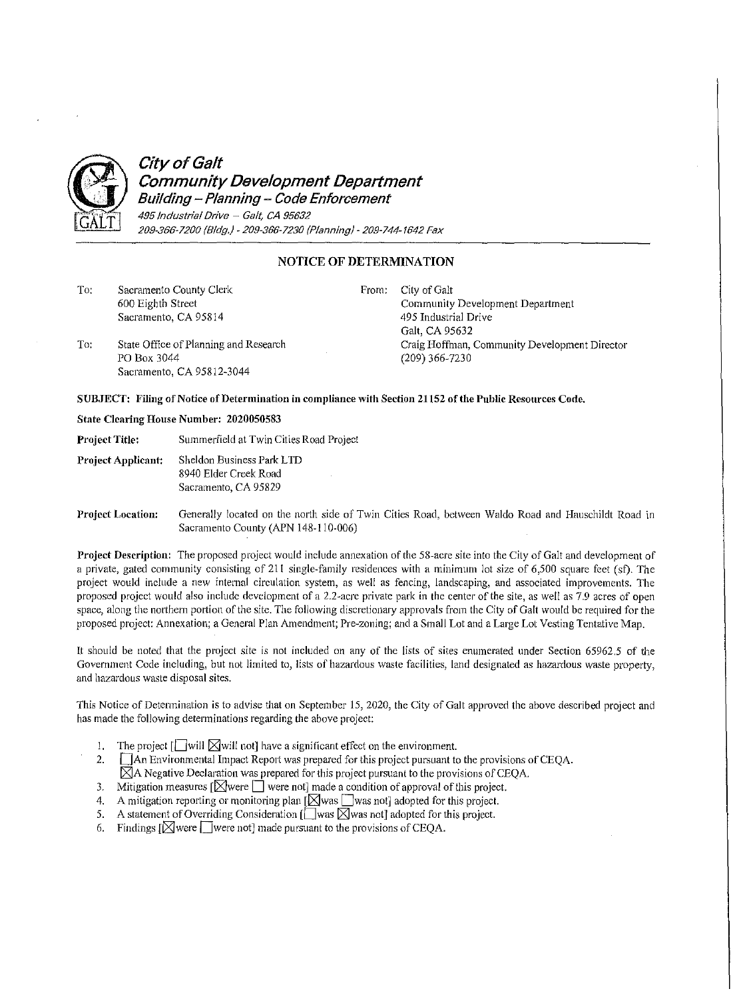

## **City of Galt Community Development Department**

**Building- Planning- Code Enforcement**  495 Industrial Drive - Galt, CA 95632 209-366-7200 (Bldg.)-209-366-7230 (Planning)-209-744-1642 Fax

## **NOTICE OF DETERMINATION**

| To: | Sacramento County Clerk<br>600 Eighth Street<br>Sacramento, CA 95814              | From: | City of Galt<br>Community Development Department<br>495 Industrial Drive<br>Galt, CA 95632 |
|-----|-----------------------------------------------------------------------------------|-------|--------------------------------------------------------------------------------------------|
| To: | State Office of Planning and Research<br>PO Box 3044<br>Sacramento, CA 95812-3044 |       | Craig Hoffman, Community Development Director<br>$(209)$ 366-7230                          |

## SUBJECT: Filing of Notice of Determination in compliance with Section 21152 of the Public Resources Code.

## **State Clearing House Number: 2020050583**

Project Title: Summerfield at Twin Cities Road Project

**Project Applicant:** Sheldon Business Park LID 8940 Elder Creek Road Sacramento, CA 95829

Project Location: Generally located on the north side of Twin Cities Road, between Waldo Road and Hauschildt Road in Sacramento County (APN 148-110-006)

Project Description: The proposed project would include annexation of the 58-acre site into the City of Galt and development of a private, gated community consisting of 211 single-family residences with a minimum lot size of 6,500 square feet (sf). The project would include a new internal circulation system, as well as fencing, landscaping, and associated improvements. The proposed project would also include development of a 2.2-acre private park in the center of the site, as well as 7.9 acres of open space, along the northern portion of the site. The following discretionary approvals from the City of Galt would be required for the proposed project: Annexation; a General Plan Amendment; Pre-zoning; and a Small Lot and a Large Lot Vesting Tentative Map.

It should be noted that the project site is not included on any of the lists of sites enumerated under Section 65962.5 of the Government Code including, but not limited to, lists of hazardous waste facilities, land designated as hazardous waste property, and hazardous waste disposal sites.

This Notice of Determination is to advise that on September 15, 2020, the City of Galt approved the above described project and has made the following determinations regarding the above project:

- 1. The project  $\Box$  will  $\boxtimes$  will not] have a significant effect on the environment.
- 2. **An Environmental Impact Report was prepared for this project pursuant to the provisions of CEQA.**  $\boxtimes$ A Negative Declaration was prepared for this project pursuant to the provisions of CEQA.
- 3. Mitigation measures  $\lceil \bigotimes \text{were} \rceil$  were not] made a condition of approval of this project.
- 4. A mitigation reporting or monitoring plan  $\left[\bigtimes \right]$  was not adopted for this project.
- 5. A statement of Overriding Consideration  $[\Box$  was  $\boxtimes$  was not] adopted for this project.
- 6. Findings  $[\boxtimes]$  were  $[\Box]$  were not] made pursuant to the provisions of CEQA.